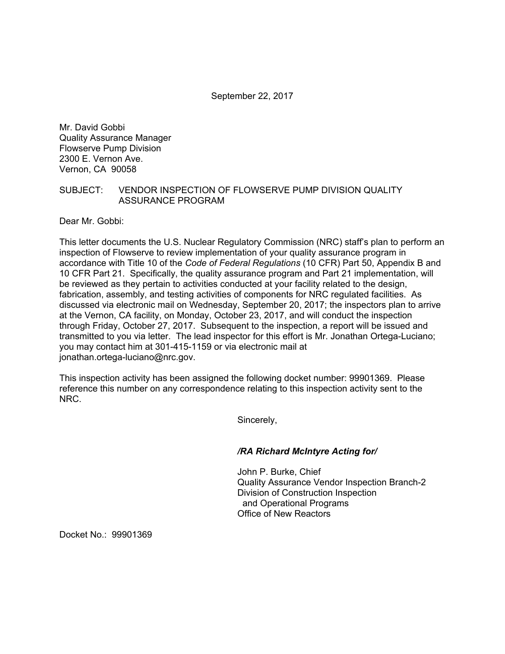September 22, 2017

Mr. David Gobbi Quality Assurance Manager Flowserve Pump Division 2300 E. Vernon Ave. Vernon, CA 90058

## SUBJECT: VENDOR INSPECTION OF FLOWSERVE PUMP DIVISION QUALITY ASSURANCE PROGRAM

Dear Mr. Gobbi:

This letter documents the U.S. Nuclear Regulatory Commission (NRC) staff's plan to perform an inspection of Flowserve to review implementation of your quality assurance program in accordance with Title 10 of the *Code of Federal Regulations* (10 CFR) Part 50, Appendix B and 10 CFR Part 21. Specifically, the quality assurance program and Part 21 implementation, will be reviewed as they pertain to activities conducted at your facility related to the design, fabrication, assembly, and testing activities of components for NRC regulated facilities. As discussed via electronic mail on Wednesday, September 20, 2017; the inspectors plan to arrive at the Vernon, CA facility, on Monday, October 23, 2017, and will conduct the inspection through Friday, October 27, 2017. Subsequent to the inspection, a report will be issued and transmitted to you via letter. The lead inspector for this effort is Mr. Jonathan Ortega-Luciano; you may contact him at 301-415-1159 or via electronic mail at jonathan.ortega-luciano@nrc.gov.

This inspection activity has been assigned the following docket number: 99901369. Please reference this number on any correspondence relating to this inspection activity sent to the NRC.

Sincerely,

## */RA Richard McIntyre Acting for/*

John P. Burke, Chief Quality Assurance Vendor Inspection Branch-2 Division of Construction Inspection and Operational Programs Office of New Reactors

Docket No.: 99901369